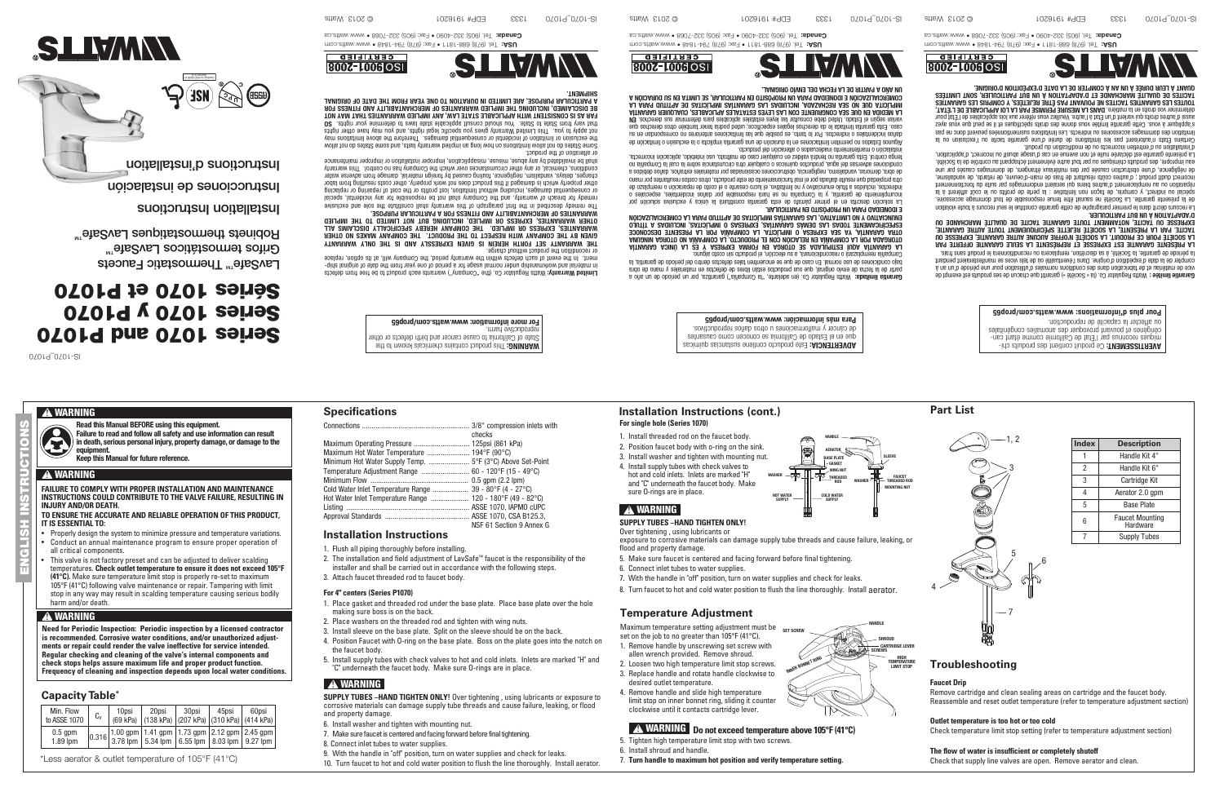ww.matts.com Tel. (978) 688-1811 • Fax: (978) 794-1948 • MWW.www • 8481-497 (878) 784 Canada: Tel. (905) 332-4090 • Fax: (905) 332-7068 • www.watts.ca



ENGLISH INSTRUCTIONS

Limited Warranty: Watts Regulator Co. (the "Company") warrants each product to be free from defects - in material and workmanship under normal usage for a period of one year from the date of original ship

ment. In the event of such defects within the warranty period, the Company will, at its option, replace

**8007-1006 OSI** 

The remedy described in the first paragraph of this warranty shall constitute the sole and exclusive remedy for breach of warranty, and the Company shall not be responsible for any incidental, special or consequential damages, including without limitation, lost profits or the cost of repairing or replacing other property which is damaged if this product does not work properly, other costs resulting from labor charges, delays, vandalism, negligence, fouling caused by foreign material, damage from adverse water conditions, chemical, or any other circumstances over which the Company has no control. This warranty shall be invalidated by any abuse, misuse, misapplication, inproper installation or improper maintenance

or recondition the product without charge. THE WARRANTY SET FORTH HEREIN IS GIVEN EXPRESSLY AND IS THE ONLY WARRANTY GIVEN BY THE COMPANY WITH RESPECT TO THE PRODUCT. THE COMPANY MAKES NO OTHER WARRANTIES, EXPRESS OR IMPLIED. THE COMPANY HEREBY SPECIFICALLY DISCLAIMS ALL OTHER WARRANTIES, EXPRESS OR IMPLIED, INCLUDING BUT NOT LIMITED TO THE IMPLIED

WARRANTIES OF MERCHANTABILITY AND FITNESS FOR A PARTICULAR PURPOSE.

or alteration of the product. Some States do not allow limitations on how long an implied warranty lasts, and some States do not allow the exclusion or limitation of incidental or consequential damages. Therefore the above limitations may not apply to you. This Limited Warranty gives you specific legal rights, and you may have other rights O2 stright nove onimitate of a wall of state aldsplique fluenco bluods uoy estate of other mont visy tent FAR AS IS CONSISTENT WITH APPLICABLE STATE LAW, ANY IMPLIED WARRANTIES THAT MAY NOT BE DISCLAIMED, INCLUDING THE IMPLIED WARRANTIES OF MERCHANTABILITY AND FITNESS FOR

 $\mathcal{L}$  2014  $\mathcal{L}$  2013 Watts EDP 19162 ION Matter EDP 102916 LACTER LACTER EDPENDENT SERIES ON DUE SIDE N

A PARTICULAR PURPOSE, ARE LIMITED IN DURATION TO ONE YEAR FROM THE DATE OF ORIGINAL SHIPMENT.

 $\sup_{\mathcal{C}}$   $\sup_{\mathcal{C}}$   $\sup_{\mathcal{C}}$   $\sup_{\mathcal{C}}$   $\sup_{\mathcal{C}}$   $\sup_{\mathcal{C}}$   $\sup_{\mathcal{C}}$   $\sup_{\mathcal{C}}$   $\sup_{\mathcal{C}}$   $\sup_{\mathcal{C}}$   $\sup_{\mathcal{C}}$   $\sup_{\mathcal{C}}$   $\sup_{\mathcal{C}}$   $\sup_{\mathcal{C}}$   $\sup_{\mathcal{C}}$   $\sup_{\mathcal{C}}$   $\sup_{\mathcal{C}}$   $\sup_{\mathcal{C}}$   $\sup_{\$ 

ww.www.www.watts.com Tel. (978) 794-1840 • MW.watts.com canage: 10: (905) 332-4090 • Fax: (905) 332-7068 • www.watts.ca





# Series 1070 and P1070 Series 1070 y P1070 Séries 1070 et P1070

0201d<sup>-0201-21</sup>

# **A** WARNING

Installation Instructions

LavSafe<sup>™</sup> Thermostatic Faucets Grifos termostáticos LavSafe™<br>Robinets thermostatiques LavSafe™

Instrucciones de instalación

Garantie limitée : Watts Regulator Co. (la « Société ») garantit que chacun de ses produits est exempt de vice de matériau et de fabrication dans des conditions normales d'utilisation pour une période d'un an à compter de la date d'expédition d'origine. Dans l'éventualité où de tels vices se manifesteraient pendant

#### Pour plus d'informations: www.watts.com/prop65

ADVERTENCIA: Este producto contiene sustancias químicas que en el Estado de California se conocen como causantes de cáncer y malformaciones u otros daños reproductivos. Para más información: www.watts.com/prop65

AVERTISSEMENT: Ce produit contient des produits chi-- miques reconnus par l'État de Californie comme étant can cérigènes et pouvant provoquer des anomalies congénitales ou affecter la capacité de reproduction.



UN AÑO A PARTIR DE LA FECHA DEL ENVÍO ORIGINAL.

**CERTIFIED 8007-1006 OSI** 



ww. Tel. (978) 688-1811 • Fax: (878) 794-1841 • MW.www.vellan.com **Canada:** 101 (909) 332-4090 • Fax: (909) 332-1008 • MWW.Watts.ca

la période de garantie, la Société, à sa discrétion, remplacera ou reconditionnera le produit sans frais. LA PRÉSENTE GARANTIE EST EXPRESSE ET REPRÉSENTE LA SEULE GARANTIE OFFERTE PAR LA SOCIÉTÉ POUR CE PRODUIT. LA SOCIÉTÉ N'OFFRE AUCUNE AUTRE GARANTIE, EXPRESSE OU TACITE. PAR LA PRÉSENTE, LA SOCIÉTÉ REJETTE SPÉCIFIQUEMENT TOUTE AUTRE GARANTIE, EXPRESSE OU TACITE, NOTAMMENT TOUTE GARANTIE TACITE DE QUALITÉ MARCHANDE OU

# **For single hole (Series 1070) Installation Instructions (cont.) Part List**

D'ADAPTATION À UN BUT PARTICULIER. Le recours décrit dans le premier paragraphe de cette garantie constitue le seul recours à toute violation de la présente garantie. La Société ne saurait être tenue responsable de tout dommage accessoire, spécial ou indirect, y compris, de façon non limitative : la perte de profits ou le coût afférent à la réparation ou au remplacement d'autres biens qui seraient endommagés par suite du fonctionnement incorrect dudit produit ; d'autres coûts résultant de frais de main-d'oeuvre, de retards, de vandalisme, de négligence, d'une obstruction causée par des matériaux étrangers, de dommages causés par une eau impropre, des produits chimiques ou par tout autre événement échappant au contrôle de la Société. La présente garantie est déclarée nulle et non avenue en cas d'usage abusif ou incorrect, d'application,

Maximum temperature setting adjustment must be ser screw set on the job to no greater than 105°F (41°C).

d'installation ou d'entretien incorrects ou de modification du produit. Certains États n'autorisent pas les limitations de durée d'une garantie tacite ou l'exclusion ou la limitation des dommages accessoires ou indirects. Les limitations susmentionnées peuvent donc ne pas s'appliquer à vous. Cette garantie limitée vous donne des droits spécifiques et il se peut que vous ayez aussi d'autres droits qui varient d'un État à l'autre. Veuillez vous référer aux lois applicables de l'État pour JA MESURE VOS QUOIS EN LA MISÉRE. DANS LA MESURE PERMISE PAR LA LOI APPLICABLE DE L'ÉTAT, TOUTES LES GARANTIES TACITES NE POUVANT PAS ÊTRE REJETÉES, Y COMPRIS LES GARANTIES TACITES DE QUALITÉ MARCHANDE ET D'ADAPTATION À UN BUT PARTICULIER, SONT LIMITÉES QUANT À LEUR DURÉE À UN AN À COMPTER DE LA DATE D'EXPÉDITION D'ORIGINE.

- Properly design the system to minimize pressure and temperature variations. Conduct an annual maintenance program to ensure proper operation of
- all critical components. This valve is not factory preset and can be adjusted to deliver scalding temperatures. **Check outlet temperature to ensure it does not exceed 105°F (41°C).** Make sure temperature limit stop is properly re-set to maximum 105°F (41°C) following valve maintenance or repair. Tampering with limit
- stop in any way may result in scalding temperature causing serious bodily harm and/or death.

# **A WARNING**

Read this Manual BEFORE using this equipment. Failure to read and follow all safety and use information can result n death, serious personal injury, property damage, or damage to the



SLIVANY

# **Specifications**

|                                                            | checks                   |
|------------------------------------------------------------|--------------------------|
|                                                            |                          |
| Maximum Hot Water Temperature  194°F (90°C)                |                          |
|                                                            |                          |
| Temperature Adjustment Range  60 - 120°F (15 - 49°C)       |                          |
|                                                            |                          |
| Cold Water Inlet Temperature Range  39 - 80°F (4 - 27°C)   |                          |
| Hot Water Inlet Temperature Range  120 - 180°F (49 - 82°C) |                          |
|                                                            |                          |
|                                                            |                          |
|                                                            | NSF 61 Section 9 Annex G |

| Min. Flow<br>to ASSE 1070 | $C_{\rm V}$ | 10psi<br>$(69 \text{ kPa})$ | 20psi<br>  (138 kPa)   (207 kPa)   (310 kPa)   (414 kPa)                                                                                                                                             | 30psi | 45psi | 60psi |
|---------------------------|-------------|-----------------------------|------------------------------------------------------------------------------------------------------------------------------------------------------------------------------------------------------|-------|-------|-------|
| $0.5$ gpm<br>$1.89$ lpm   |             |                             | $\left  0.316 \right  1.00$ gpm $\left  1.41$ gpm $\left  1.73$ gpm $\right  2.12$ gpm $\left  2.45$ gpm $\right  3.78$ lpm $\left  5.34$ lpm $\left  6.55$ lpm $\right  8.03$ lpm $\left  9.27$ lpm |       |       |       |

## **Capacity Table\***

\*Less aerator & outlet temperature of 105°F (41°C)

#### **Installation Instructions**

- 1. Flush all piping thoroughly before installing.
- 2. The installation and field adjustment of LavSafe™ faucet is the responsibility of the installer and shall be carried out in accordance with the following steps.
- 3. Attach faucet threaded rod to faucet body.

#### **For 4" centers (Series P1070)**

- 1. Place gasket and threaded rod under the base plate. Place base plate over the hole making sure boss is on the back.
- 2. Place washers on the threaded rod and tighten with wing nuts.
- 3. Install sleeve on the base plate. Split on the sleeve should be on the back.
- 4. Position Faucet with O-ring on the base plate. Boss on the plate goes into the notch on the faucet body.
- 5. Install supply tubes with check valves to hot and cold inlets. Inlets are marked "H" and "C" underneath the faucet body. Make sure O-rings are in place.

## **!** WARNING

**SUPPLY TUBES –HAND TIGHTEN ONLY!** Over tightening , using lubricants or exposure to corrosive materials can damage supply tube threads and cause failure, leaking, or flood and property damage.

- 6. Install washer and tighten with mounting nut.
- 7. Make sure faucet is centered and facing forward before final tightening.
- 8. Connect inlet tubes to water supplies.
- 9. With the handle in "off" position, turn on water supplies and check for leaks. 10. Turn faucet to hot and cold water position to flush the line thoroughly. Install aerator.
- 1. Install threaded rod on the faucet body.
- 2. Position faucet body with o-ring on the sink.
- 3. Install washer and tighten with mounting nut.
- 4. Install supply tubes with check valves to hot and cold inlets. Inlets are marked "H" and "C" underneath the faucet body. Make sure O-rings are in place.

**SUPPLY TUBES –HAND TIGHTEN ONLY!** Over tightening , using lubricants or

exposure to corrosive materials can damage supply tube threads and cause failure, leaking, or flood and property damage.

- 5. Make sure faucet is centered and facing forward before final tightening.
- 6. Connect inlet tubes to water supplies.
- 7. With the handle in "off" position, turn on water supplies and check for leaks.
- 8. Turn faucet to hot and cold water position to flush the line thoroughly. Install aerator.

**INNER BONNET RING** 



# **A** WARNING





# **Temperature Adjustment**

- 1. Remove handle by unscrewing set screw with
- allen wrench provided. Remove shroud. 2. Loosen two high temperature limit stop screws.
- 3. Replace handle and rotate handle clockwise to
- desired outlet temperature.
- 4. Remove handle and slide high temperature limit stop on inner bonnet ring, sliding it counter clockwise until it contacts cartridge lever.

# **24 WARNING** Do not exceed temperature above 105°F (41°C)

- 5. Tighten high temperature limit stop with two screws.
- 6. Install shroud and handle.
	- 7. **Turn handle to maximum hot position and verify temperature setting.**

HANDLE SHROUD

# **Troubleshooting**

#### **Faucet Drip**

Remove cartridge and clean sealing areas on cartridge and the faucet body. Reassemble and reset outlet temperature (refer to temperature adjustment section)

#### **Outlet temperature is too hot or too cold**

Check temperature limit stop setting (refer to temperature adjustment section)

#### **The flow of water is insufficient or completely shutoff**

Check that supply line valves are open. Remove aerator and clean.

| <b>Index</b> | <b>Description</b>                 |
|--------------|------------------------------------|
|              | Handle Kit 4"                      |
| 2            | Handle Kit 6"                      |
| 3            | Cartridge Kit                      |
| 4            | Aerator 2.0 gpm                    |
| 5            | <b>Base Plate</b>                  |
| 6            | <b>Faucet Mounting</b><br>Hardware |
| 7            | <b>Supply Tubes</b>                |



—— CARTRIDGE LEVER<br>Screws HIGH<br>TEMPERATURE

**FAILURE TO COMPLY WITH PROPER INSTALLATION AND MAINTENANCE INSTRUCTIONS COULD CONTRIBUTE TO THE VALVE FAILURE, RESULTING IN INJURY AND/OR DEATH.**

**TO ENSURE THE ACCURATE AND RELIABLE OPERATION OF THIS PRODUCT, IT IS ESSENTIAL TO:**

### **!** WARNING **WARNING**

equipment. Keep this Manual for future reference.

**Need for Periodic Inspection: Periodic inspection by a licensed contractor is recommended. Corrosive water conditions, and/or unauthorized adjustments or repair could render the valve ineffective for service intended. Regular checking and cleaning of the valve's internal components and check stops helps assure maximum life and proper product function. Frequency of cleaning and inspection depends upon local water conditions.**